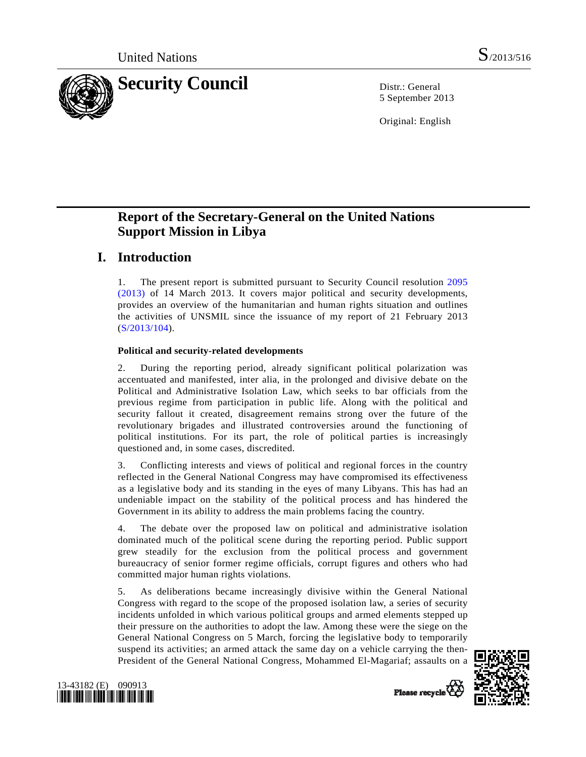

5 September 2013

Original: English

# **Report of the Secretary-General on the United Nations Support Mission in Libya**

# **I. Introduction**

1. The present report is submitted pursuant to Security Council resolution [2095](http://undocs.org/S/RES/2095(2013))  [\(2013\)](http://undocs.org/S/RES/2095(2013)) of 14 March 2013. It covers major political and security developments, provides an overview of the humanitarian and human rights situation and outlines the activities of UNSMIL since the issuance of my report of 21 February 2013 ([S/2013/104](http://undocs.org/S/2013/104)).

### **Political and security-related developments**

2. During the reporting period, already significant political polarization was accentuated and manifested, inter alia, in the prolonged and divisive debate on the Political and Administrative Isolation Law, which seeks to bar officials from the previous regime from participation in public life. Along with the political and security fallout it created, disagreement remains strong over the future of the revolutionary brigades and illustrated controversies around the functioning of political institutions. For its part, the role of political parties is increasingly questioned and, in some cases, discredited.

3. Conflicting interests and views of political and regional forces in the country reflected in the General National Congress may have compromised its effectiveness as a legislative body and its standing in the eyes of many Libyans. This has had an undeniable impact on the stability of the political process and has hindered the Government in its ability to address the main problems facing the country.

4. The debate over the proposed law on political and administrative isolation dominated much of the political scene during the reporting period. Public support grew steadily for the exclusion from the political process and government bureaucracy of senior former regime officials, corrupt figures and others who had committed major human rights violations.

5. As deliberations became increasingly divisive within the General National Congress with regard to the scope of the proposed isolation law, a series of security incidents unfolded in which various political groups and armed elements stepped up their pressure on the authorities to adopt the law. Among these were the siege on the General National Congress on 5 March, forcing the legislative body to temporarily suspend its activities; an armed attack the same day on a vehicle carrying the then-President of the General National Congress, Mohammed El-Magariaf; assaults on a





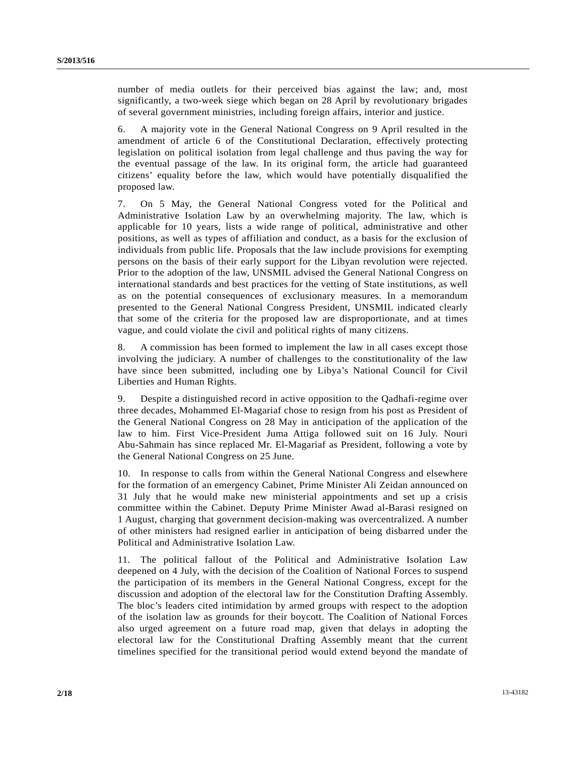number of media outlets for their perceived bias against the law; and, most significantly, a two-week siege which began on 28 April by revolutionary brigades of several government ministries, including foreign affairs, interior and justice.

6. A majority vote in the General National Congress on 9 April resulted in the amendment of article 6 of the Constitutional Declaration, effectively protecting legislation on political isolation from legal challenge and thus paving the way for the eventual passage of the law. In its original form, the article had guaranteed citizens' equality before the law, which would have potentially disqualified the proposed law.

7. On 5 May, the General National Congress voted for the Political and Administrative Isolation Law by an overwhelming majority. The law, which is applicable for 10 years, lists a wide range of political, administrative and other positions, as well as types of affiliation and conduct, as a basis for the exclusion of individuals from public life. Proposals that the law include provisions for exempting persons on the basis of their early support for the Libyan revolution were rejected. Prior to the adoption of the law, UNSMIL advised the General National Congress on international standards and best practices for the vetting of State institutions, as well as on the potential consequences of exclusionary measures. In a memorandum presented to the General National Congress President, UNSMIL indicated clearly that some of the criteria for the proposed law are disproportionate, and at times vague, and could violate the civil and political rights of many citizens.

8. A commission has been formed to implement the law in all cases except those involving the judiciary. A number of challenges to the constitutionality of the law have since been submitted, including one by Libya's National Council for Civil Liberties and Human Rights.

9. Despite a distinguished record in active opposition to the Qadhafi-regime over three decades, Mohammed El-Magariaf chose to resign from his post as President of the General National Congress on 28 May in anticipation of the application of the law to him. First Vice-President Juma Attiga followed suit on 16 July. Nouri Abu-Sahmain has since replaced Mr. El-Magariaf as President, following a vote by the General National Congress on 25 June.

10. In response to calls from within the General National Congress and elsewhere for the formation of an emergency Cabinet, Prime Minister Ali Zeidan announced on 31 July that he would make new ministerial appointments and set up a crisis committee within the Cabinet. Deputy Prime Minister Awad al-Barasi resigned on 1 August, charging that government decision-making was overcentralized. A number of other ministers had resigned earlier in anticipation of being disbarred under the Political and Administrative Isolation Law.

11. The political fallout of the Political and Administrative Isolation Law deepened on 4 July, with the decision of the Coalition of National Forces to suspend the participation of its members in the General National Congress, except for the discussion and adoption of the electoral law for the Constitution Drafting Assembly. The bloc's leaders cited intimidation by armed groups with respect to the adoption of the isolation law as grounds for their boycott. The Coalition of National Forces also urged agreement on a future road map, given that delays in adopting the electoral law for the Constitutional Drafting Assembly meant that the current timelines specified for the transitional period would extend beyond the mandate of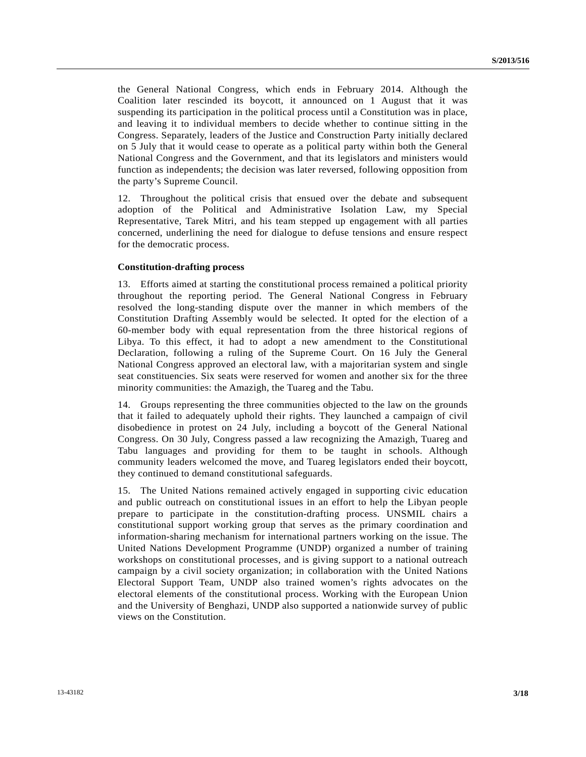the General National Congress, which ends in February 2014. Although the Coalition later rescinded its boycott, it announced on 1 August that it was suspending its participation in the political process until a Constitution was in place, and leaving it to individual members to decide whether to continue sitting in the Congress. Separately, leaders of the Justice and Construction Party initially declared on 5 July that it would cease to operate as a political party within both the General National Congress and the Government, and that its legislators and ministers would function as independents; the decision was later reversed, following opposition from the party's Supreme Council.

12. Throughout the political crisis that ensued over the debate and subsequent adoption of the Political and Administrative Isolation Law, my Special Representative, Tarek Mitri, and his team stepped up engagement with all parties concerned, underlining the need for dialogue to defuse tensions and ensure respect for the democratic process.

### **Constitution-drafting process**

13. Efforts aimed at starting the constitutional process remained a political priority throughout the reporting period. The General National Congress in February resolved the long-standing dispute over the manner in which members of the Constitution Drafting Assembly would be selected. It opted for the election of a 60-member body with equal representation from the three historical regions of Libya. To this effect, it had to adopt a new amendment to the Constitutional Declaration, following a ruling of the Supreme Court. On 16 July the General National Congress approved an electoral law, with a majoritarian system and single seat constituencies. Six seats were reserved for women and another six for the three minority communities: the Amazigh, the Tuareg and the Tabu.

14. Groups representing the three communities objected to the law on the grounds that it failed to adequately uphold their rights. They launched a campaign of civil disobedience in protest on 24 July, including a boycott of the General National Congress. On 30 July, Congress passed a law recognizing the Amazigh, Tuareg and Tabu languages and providing for them to be taught in schools. Although community leaders welcomed the move, and Tuareg legislators ended their boycott, they continued to demand constitutional safeguards.

15. The United Nations remained actively engaged in supporting civic education and public outreach on constitutional issues in an effort to help the Libyan people prepare to participate in the constitution-drafting process. UNSMIL chairs a constitutional support working group that serves as the primary coordination and information-sharing mechanism for international partners working on the issue. The United Nations Development Programme (UNDP) organized a number of training workshops on constitutional processes, and is giving support to a national outreach campaign by a civil society organization; in collaboration with the United Nations Electoral Support Team, UNDP also trained women's rights advocates on the electoral elements of the constitutional process. Working with the European Union and the University of Benghazi, UNDP also supported a nationwide survey of public views on the Constitution.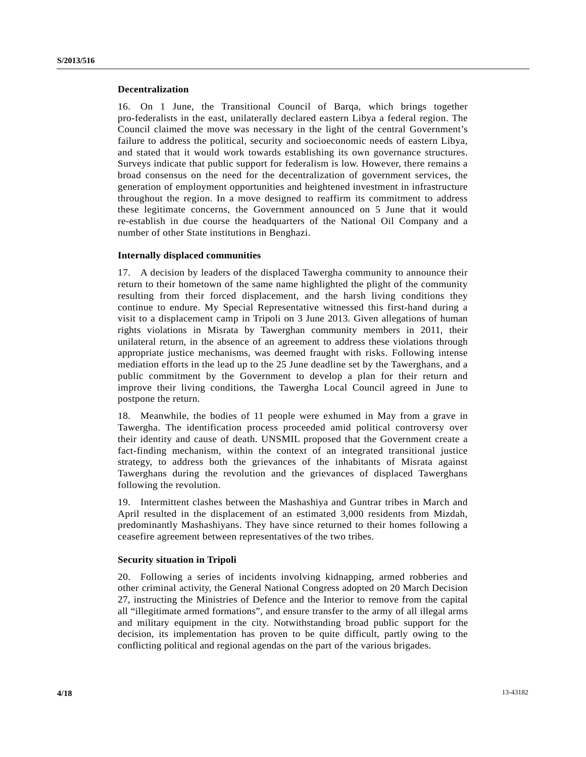### **Decentralization**

16. On 1 June, the Transitional Council of Barqa, which brings together pro-federalists in the east, unilaterally declared eastern Libya a federal region. The Council claimed the move was necessary in the light of the central Government's failure to address the political, security and socioeconomic needs of eastern Libya, and stated that it would work towards establishing its own governance structures. Surveys indicate that public support for federalism is low. However, there remains a broad consensus on the need for the decentralization of government services, the generation of employment opportunities and heightened investment in infrastructure throughout the region. In a move designed to reaffirm its commitment to address these legitimate concerns, the Government announced on 5 June that it would re-establish in due course the headquarters of the National Oil Company and a number of other State institutions in Benghazi.

### **Internally displaced communities**

17. A decision by leaders of the displaced Tawergha community to announce their return to their hometown of the same name highlighted the plight of the community resulting from their forced displacement, and the harsh living conditions they continue to endure. My Special Representative witnessed this first-hand during a visit to a displacement camp in Tripoli on 3 June 2013. Given allegations of human rights violations in Misrata by Tawerghan community members in 2011, their unilateral return, in the absence of an agreement to address these violations through appropriate justice mechanisms, was deemed fraught with risks. Following intense mediation efforts in the lead up to the 25 June deadline set by the Tawerghans, and a public commitment by the Government to develop a plan for their return and improve their living conditions, the Tawergha Local Council agreed in June to postpone the return.

18. Meanwhile, the bodies of 11 people were exhumed in May from a grave in Tawergha. The identification process proceeded amid political controversy over their identity and cause of death. UNSMIL proposed that the Government create a fact-finding mechanism, within the context of an integrated transitional justice strategy, to address both the grievances of the inhabitants of Misrata against Tawerghans during the revolution and the grievances of displaced Tawerghans following the revolution.

19. Intermittent clashes between the Mashashiya and Guntrar tribes in March and April resulted in the displacement of an estimated 3,000 residents from Mizdah, predominantly Mashashiyans. They have since returned to their homes following a ceasefire agreement between representatives of the two tribes.

### **Security situation in Tripoli**

20. Following a series of incidents involving kidnapping, armed robberies and other criminal activity, the General National Congress adopted on 20 March Decision 27, instructing the Ministries of Defence and the Interior to remove from the capital all "illegitimate armed formations", and ensure transfer to the army of all illegal arms and military equipment in the city. Notwithstanding broad public support for the decision, its implementation has proven to be quite difficult, partly owing to the conflicting political and regional agendas on the part of the various brigades.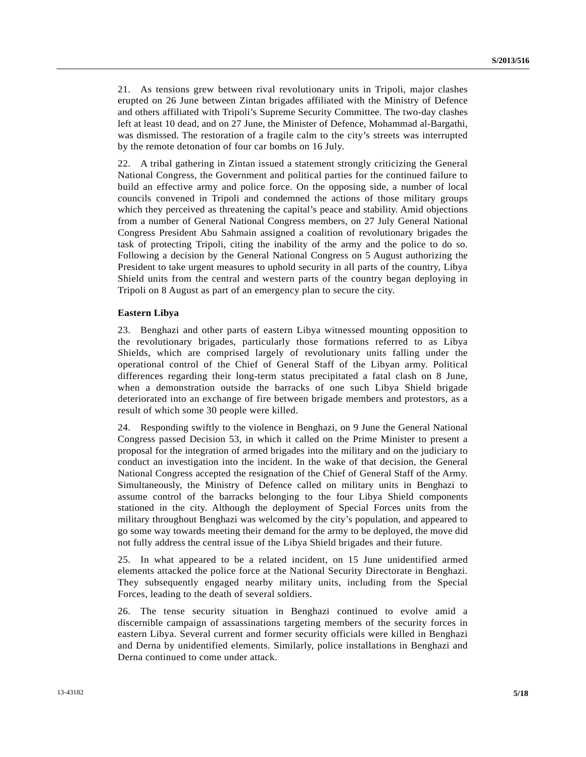21. As tensions grew between rival revolutionary units in Tripoli, major clashes erupted on 26 June between Zintan brigades affiliated with the Ministry of Defence and others affiliated with Tripoli's Supreme Security Committee. The two-day clashes left at least 10 dead, and on 27 June, the Minister of Defence, Mohammad al-Bargathi, was dismissed. The restoration of a fragile calm to the city's streets was interrupted by the remote detonation of four car bombs on 16 July.

22. A tribal gathering in Zintan issued a statement strongly criticizing the General National Congress, the Government and political parties for the continued failure to build an effective army and police force. On the opposing side, a number of local councils convened in Tripoli and condemned the actions of those military groups which they perceived as threatening the capital's peace and stability. Amid objections from a number of General National Congress members, on 27 July General National Congress President Abu Sahmain assigned a coalition of revolutionary brigades the task of protecting Tripoli, citing the inability of the army and the police to do so. Following a decision by the General National Congress on 5 August authorizing the President to take urgent measures to uphold security in all parts of the country, Libya Shield units from the central and western parts of the country began deploying in Tripoli on 8 August as part of an emergency plan to secure the city.

### **Eastern Libya**

23. Benghazi and other parts of eastern Libya witnessed mounting opposition to the revolutionary brigades, particularly those formations referred to as Libya Shields, which are comprised largely of revolutionary units falling under the operational control of the Chief of General Staff of the Libyan army. Political differences regarding their long-term status precipitated a fatal clash on 8 June, when a demonstration outside the barracks of one such Libya Shield brigade deteriorated into an exchange of fire between brigade members and protestors, as a result of which some 30 people were killed.

24. Responding swiftly to the violence in Benghazi, on 9 June the General National Congress passed Decision 53, in which it called on the Prime Minister to present a proposal for the integration of armed brigades into the military and on the judiciary to conduct an investigation into the incident. In the wake of that decision, the General National Congress accepted the resignation of the Chief of General Staff of the Army. Simultaneously, the Ministry of Defence called on military units in Benghazi to assume control of the barracks belonging to the four Libya Shield components stationed in the city. Although the deployment of Special Forces units from the military throughout Benghazi was welcomed by the city's population, and appeared to go some way towards meeting their demand for the army to be deployed, the move did not fully address the central issue of the Libya Shield brigades and their future.

25. In what appeared to be a related incident, on 15 June unidentified armed elements attacked the police force at the National Security Directorate in Benghazi. They subsequently engaged nearby military units, including from the Special Forces, leading to the death of several soldiers.

26. The tense security situation in Benghazi continued to evolve amid a discernible campaign of assassinations targeting members of the security forces in eastern Libya. Several current and former security officials were killed in Benghazi and Derna by unidentified elements. Similarly, police installations in Benghazi and Derna continued to come under attack.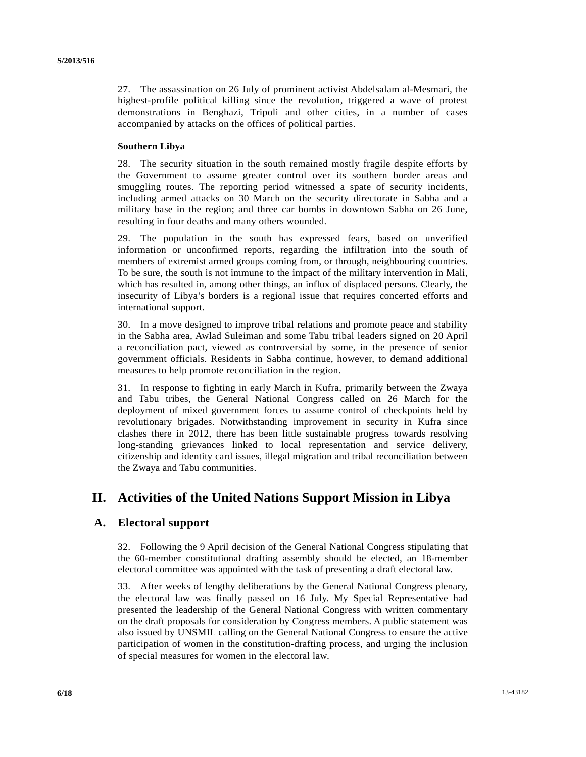27. The assassination on 26 July of prominent activist Abdelsalam al-Mesmari, the highest-profile political killing since the revolution, triggered a wave of protest demonstrations in Benghazi, Tripoli and other cities, in a number of cases accompanied by attacks on the offices of political parties.

### **Southern Libya**

28. The security situation in the south remained mostly fragile despite efforts by the Government to assume greater control over its southern border areas and smuggling routes. The reporting period witnessed a spate of security incidents, including armed attacks on 30 March on the security directorate in Sabha and a military base in the region; and three car bombs in downtown Sabha on 26 June, resulting in four deaths and many others wounded.

29. The population in the south has expressed fears, based on unverified information or unconfirmed reports, regarding the infiltration into the south of members of extremist armed groups coming from, or through, neighbouring countries. To be sure, the south is not immune to the impact of the military intervention in Mali, which has resulted in, among other things, an influx of displaced persons. Clearly, the insecurity of Libya's borders is a regional issue that requires concerted efforts and international support.

30. In a move designed to improve tribal relations and promote peace and stability in the Sabha area, Awlad Suleiman and some Tabu tribal leaders signed on 20 April a reconciliation pact, viewed as controversial by some, in the presence of senior government officials. Residents in Sabha continue, however, to demand additional measures to help promote reconciliation in the region.

31. In response to fighting in early March in Kufra, primarily between the Zwaya and Tabu tribes, the General National Congress called on 26 March for the deployment of mixed government forces to assume control of checkpoints held by revolutionary brigades. Notwithstanding improvement in security in Kufra since clashes there in 2012, there has been little sustainable progress towards resolving long-standing grievances linked to local representation and service delivery, citizenship and identity card issues, illegal migration and tribal reconciliation between the Zwaya and Tabu communities.

## **II. Activities of the United Nations Support Mission in Libya**

### **A. Electoral support**

32. Following the 9 April decision of the General National Congress stipulating that the 60-member constitutional drafting assembly should be elected, an 18-member electoral committee was appointed with the task of presenting a draft electoral law.

33. After weeks of lengthy deliberations by the General National Congress plenary, the electoral law was finally passed on 16 July. My Special Representative had presented the leadership of the General National Congress with written commentary on the draft proposals for consideration by Congress members. A public statement was also issued by UNSMIL calling on the General National Congress to ensure the active participation of women in the constitution-drafting process, and urging the inclusion of special measures for women in the electoral law.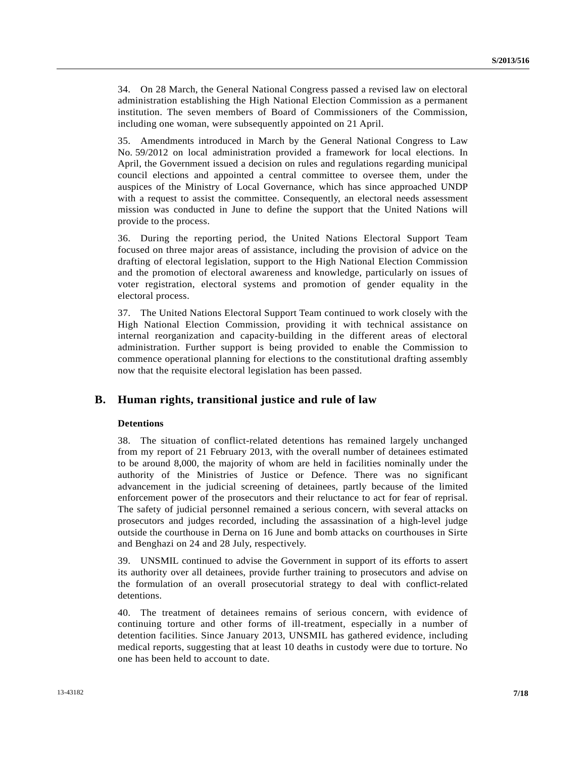34. On 28 March, the General National Congress passed a revised law on electoral administration establishing the High National Election Commission as a permanent institution. The seven members of Board of Commissioners of the Commission, including one woman, were subsequently appointed on 21 April.

35. Amendments introduced in March by the General National Congress to Law No. 59/2012 on local administration provided a framework for local elections. In April, the Government issued a decision on rules and regulations regarding municipal council elections and appointed a central committee to oversee them, under the auspices of the Ministry of Local Governance, which has since approached UNDP with a request to assist the committee. Consequently, an electoral needs assessment mission was conducted in June to define the support that the United Nations will provide to the process.

36. During the reporting period, the United Nations Electoral Support Team focused on three major areas of assistance, including the provision of advice on the drafting of electoral legislation, support to the High National Election Commission and the promotion of electoral awareness and knowledge, particularly on issues of voter registration, electoral systems and promotion of gender equality in the electoral process.

37. The United Nations Electoral Support Team continued to work closely with the High National Election Commission, providing it with technical assistance on internal reorganization and capacity-building in the different areas of electoral administration. Further support is being provided to enable the Commission to commence operational planning for elections to the constitutional drafting assembly now that the requisite electoral legislation has been passed.

### **B. Human rights, transitional justice and rule of law**

### **Detentions**

38. The situation of conflict-related detentions has remained largely unchanged from my report of 21 February 2013, with the overall number of detainees estimated to be around 8,000, the majority of whom are held in facilities nominally under the authority of the Ministries of Justice or Defence. There was no significant advancement in the judicial screening of detainees, partly because of the limited enforcement power of the prosecutors and their reluctance to act for fear of reprisal. The safety of judicial personnel remained a serious concern, with several attacks on prosecutors and judges recorded, including the assassination of a high-level judge outside the courthouse in Derna on 16 June and bomb attacks on courthouses in Sirte and Benghazi on 24 and 28 July, respectively.

39. UNSMIL continued to advise the Government in support of its efforts to assert its authority over all detainees, provide further training to prosecutors and advise on the formulation of an overall prosecutorial strategy to deal with conflict-related detentions.

40. The treatment of detainees remains of serious concern, with evidence of continuing torture and other forms of ill-treatment, especially in a number of detention facilities. Since January 2013, UNSMIL has gathered evidence, including medical reports, suggesting that at least 10 deaths in custody were due to torture. No one has been held to account to date.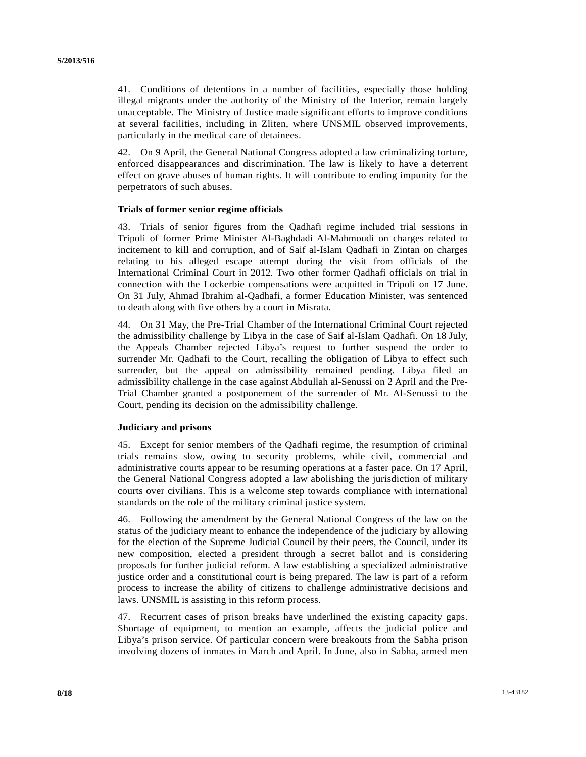41. Conditions of detentions in a number of facilities, especially those holding illegal migrants under the authority of the Ministry of the Interior, remain largely unacceptable. The Ministry of Justice made significant efforts to improve conditions at several facilities, including in Zliten, where UNSMIL observed improvements, particularly in the medical care of detainees.

42. On 9 April, the General National Congress adopted a law criminalizing torture, enforced disappearances and discrimination. The law is likely to have a deterrent effect on grave abuses of human rights. It will contribute to ending impunity for the perpetrators of such abuses.

### **Trials of former senior regime officials**

43. Trials of senior figures from the Qadhafi regime included trial sessions in Tripoli of former Prime Minister Al-Baghdadi Al-Mahmoudi on charges related to incitement to kill and corruption, and of Saif al-Islam Qadhafi in Zintan on charges relating to his alleged escape attempt during the visit from officials of the International Criminal Court in 2012. Two other former Qadhafi officials on trial in connection with the Lockerbie compensations were acquitted in Tripoli on 17 June. On 31 July, Ahmad Ibrahim al-Qadhafi, a former Education Minister, was sentenced to death along with five others by a court in Misrata.

44. On 31 May, the Pre-Trial Chamber of the International Criminal Court rejected the admissibility challenge by Libya in the case of Saif al-Islam Qadhafi. On 18 July, the Appeals Chamber rejected Libya's request to further suspend the order to surrender Mr. Qadhafi to the Court, recalling the obligation of Libya to effect such surrender, but the appeal on admissibility remained pending. Libya filed an admissibility challenge in the case against Abdullah al-Senussi on 2 April and the Pre-Trial Chamber granted a postponement of the surrender of Mr. Al-Senussi to the Court, pending its decision on the admissibility challenge.

### **Judiciary and prisons**

45. Except for senior members of the Qadhafi regime, the resumption of criminal trials remains slow, owing to security problems, while civil, commercial and administrative courts appear to be resuming operations at a faster pace. On 17 April, the General National Congress adopted a law abolishing the jurisdiction of military courts over civilians. This is a welcome step towards compliance with international standards on the role of the military criminal justice system.

46. Following the amendment by the General National Congress of the law on the status of the judiciary meant to enhance the independence of the judiciary by allowing for the election of the Supreme Judicial Council by their peers, the Council, under its new composition, elected a president through a secret ballot and is considering proposals for further judicial reform. A law establishing a specialized administrative justice order and a constitutional court is being prepared. The law is part of a reform process to increase the ability of citizens to challenge administrative decisions and laws. UNSMIL is assisting in this reform process.

47. Recurrent cases of prison breaks have underlined the existing capacity gaps. Shortage of equipment, to mention an example, affects the judicial police and Libya's prison service. Of particular concern were breakouts from the Sabha prison involving dozens of inmates in March and April. In June, also in Sabha, armed men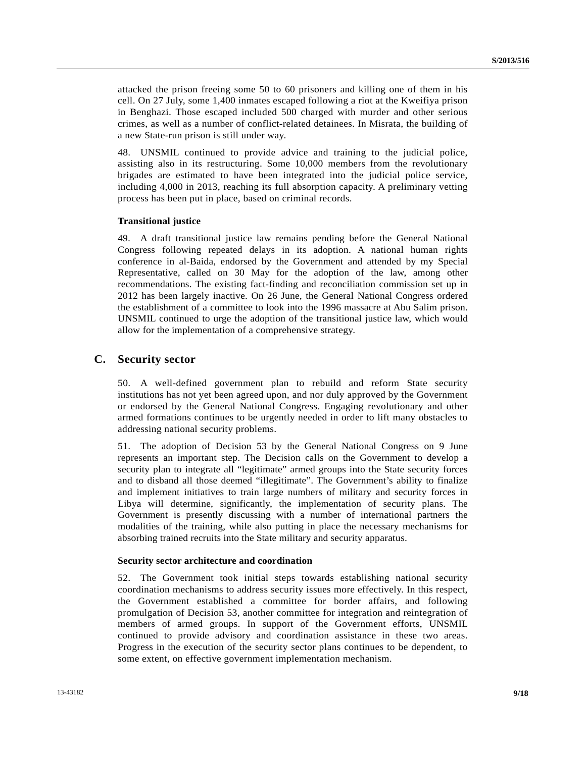attacked the prison freeing some 50 to 60 prisoners and killing one of them in his cell. On 27 July, some 1,400 inmates escaped following a riot at the Kweifiya prison in Benghazi. Those escaped included 500 charged with murder and other serious crimes, as well as a number of conflict-related detainees. In Misrata, the building of a new State-run prison is still under way.

48. UNSMIL continued to provide advice and training to the judicial police, assisting also in its restructuring. Some 10,000 members from the revolutionary brigades are estimated to have been integrated into the judicial police service, including 4,000 in 2013, reaching its full absorption capacity. A preliminary vetting process has been put in place, based on criminal records.

### **Transitional justice**

49. A draft transitional justice law remains pending before the General National Congress following repeated delays in its adoption. A national human rights conference in al-Baida, endorsed by the Government and attended by my Special Representative, called on 30 May for the adoption of the law, among other recommendations. The existing fact-finding and reconciliation commission set up in 2012 has been largely inactive. On 26 June, the General National Congress ordered the establishment of a committee to look into the 1996 massacre at Abu Salim prison. UNSMIL continued to urge the adoption of the transitional justice law, which would allow for the implementation of a comprehensive strategy.

### **C. Security sector**

50. A well-defined government plan to rebuild and reform State security institutions has not yet been agreed upon, and nor duly approved by the Government or endorsed by the General National Congress. Engaging revolutionary and other armed formations continues to be urgently needed in order to lift many obstacles to addressing national security problems.

51. The adoption of Decision 53 by the General National Congress on 9 June represents an important step. The Decision calls on the Government to develop a security plan to integrate all "legitimate" armed groups into the State security forces and to disband all those deemed "illegitimate". The Government's ability to finalize and implement initiatives to train large numbers of military and security forces in Libya will determine, significantly, the implementation of security plans. The Government is presently discussing with a number of international partners the modalities of the training, while also putting in place the necessary mechanisms for absorbing trained recruits into the State military and security apparatus.

### **Security sector architecture and coordination**

52. The Government took initial steps towards establishing national security coordination mechanisms to address security issues more effectively. In this respect, the Government established a committee for border affairs, and following promulgation of Decision 53, another committee for integration and reintegration of members of armed groups. In support of the Government efforts, UNSMIL continued to provide advisory and coordination assistance in these two areas. Progress in the execution of the security sector plans continues to be dependent, to some extent, on effective government implementation mechanism.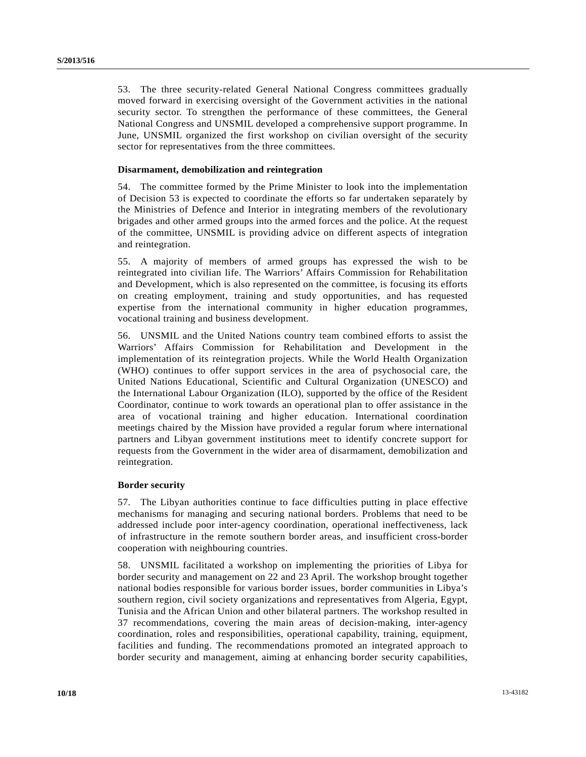53. The three security-related General National Congress committees gradually moved forward in exercising oversight of the Government activities in the national security sector. To strengthen the performance of these committees, the General National Congress and UNSMIL developed a comprehensive support programme. In June, UNSMIL organized the first workshop on civilian oversight of the security sector for representatives from the three committees.

### **Disarmament, demobilization and reintegration**

54. The committee formed by the Prime Minister to look into the implementation of Decision 53 is expected to coordinate the efforts so far undertaken separately by the Ministries of Defence and Interior in integrating members of the revolutionary brigades and other armed groups into the armed forces and the police. At the request of the committee, UNSMIL is providing advice on different aspects of integration and reintegration.

55. A majority of members of armed groups has expressed the wish to be reintegrated into civilian life. The Warriors' Affairs Commission for Rehabilitation and Development, which is also represented on the committee, is focusing its efforts on creating employment, training and study opportunities, and has requested expertise from the international community in higher education programmes, vocational training and business development.

56. UNSMIL and the United Nations country team combined efforts to assist the Warriors' Affairs Commission for Rehabilitation and Development in the implementation of its reintegration projects. While the World Health Organization (WHO) continues to offer support services in the area of psychosocial care, the United Nations Educational, Scientific and Cultural Organization (UNESCO) and the International Labour Organization (ILO), supported by the office of the Resident Coordinator, continue to work towards an operational plan to offer assistance in the area of vocational training and higher education. International coordination meetings chaired by the Mission have provided a regular forum where international partners and Libyan government institutions meet to identify concrete support for requests from the Government in the wider area of disarmament, demobilization and reintegration.

#### **Border security**

57. The Libyan authorities continue to face difficulties putting in place effective mechanisms for managing and securing national borders. Problems that need to be addressed include poor inter-agency coordination, operational ineffectiveness, lack of infrastructure in the remote southern border areas, and insufficient cross-border cooperation with neighbouring countries.

58. UNSMIL facilitated a workshop on implementing the priorities of Libya for border security and management on 22 and 23 April. The workshop brought together national bodies responsible for various border issues, border communities in Libya's southern region, civil society organizations and representatives from Algeria, Egypt, Tunisia and the African Union and other bilateral partners. The workshop resulted in 37 recommendations, covering the main areas of decision-making, inter-agency coordination, roles and responsibilities, operational capability, training, equipment, facilities and funding. The recommendations promoted an integrated approach to border security and management, aiming at enhancing border security capabilities,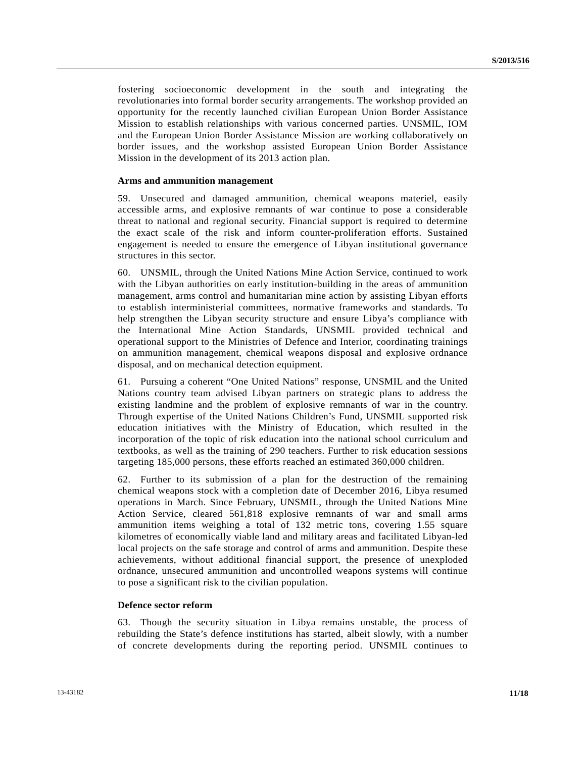fostering socioeconomic development in the south and integrating the revolutionaries into formal border security arrangements. The workshop provided an opportunity for the recently launched civilian European Union Border Assistance Mission to establish relationships with various concerned parties. UNSMIL, IOM and the European Union Border Assistance Mission are working collaboratively on border issues, and the workshop assisted European Union Border Assistance Mission in the development of its 2013 action plan.

#### **Arms and ammunition management**

59. Unsecured and damaged ammunition, chemical weapons materiel, easily accessible arms, and explosive remnants of war continue to pose a considerable threat to national and regional security. Financial support is required to determine the exact scale of the risk and inform counter-proliferation efforts. Sustained engagement is needed to ensure the emergence of Libyan institutional governance structures in this sector.

60. UNSMIL, through the United Nations Mine Action Service, continued to work with the Libyan authorities on early institution-building in the areas of ammunition management, arms control and humanitarian mine action by assisting Libyan efforts to establish interministerial committees, normative frameworks and standards. To help strengthen the Libyan security structure and ensure Libya's compliance with the International Mine Action Standards, UNSMIL provided technical and operational support to the Ministries of Defence and Interior, coordinating trainings on ammunition management, chemical weapons disposal and explosive ordnance disposal, and on mechanical detection equipment.

61. Pursuing a coherent "One United Nations" response, UNSMIL and the United Nations country team advised Libyan partners on strategic plans to address the existing landmine and the problem of explosive remnants of war in the country. Through expertise of the United Nations Children's Fund, UNSMIL supported risk education initiatives with the Ministry of Education, which resulted in the incorporation of the topic of risk education into the national school curriculum and textbooks, as well as the training of 290 teachers. Further to risk education sessions targeting 185,000 persons, these efforts reached an estimated 360,000 children.

62. Further to its submission of a plan for the destruction of the remaining chemical weapons stock with a completion date of December 2016, Libya resumed operations in March. Since February, UNSMIL, through the United Nations Mine Action Service, cleared 561,818 explosive remnants of war and small arms ammunition items weighing a total of 132 metric tons, covering 1.55 square kilometres of economically viable land and military areas and facilitated Libyan-led local projects on the safe storage and control of arms and ammunition. Despite these achievements, without additional financial support, the presence of unexploded ordnance, unsecured ammunition and uncontrolled weapons systems will continue to pose a significant risk to the civilian population.

### **Defence sector reform**

63. Though the security situation in Libya remains unstable, the process of rebuilding the State's defence institutions has started, albeit slowly, with a number of concrete developments during the reporting period. UNSMIL continues to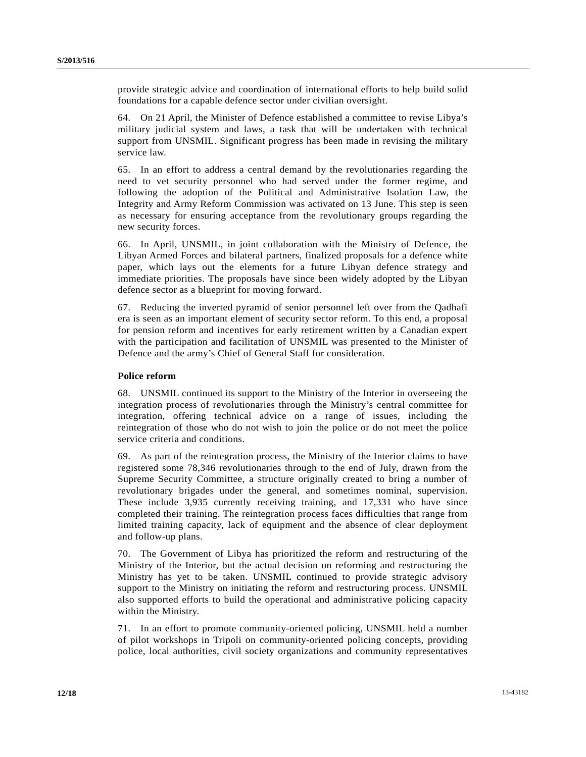provide strategic advice and coordination of international efforts to help build solid foundations for a capable defence sector under civilian oversight.

64. On 21 April, the Minister of Defence established a committee to revise Libya's military judicial system and laws, a task that will be undertaken with technical support from UNSMIL. Significant progress has been made in revising the military service law.

65. In an effort to address a central demand by the revolutionaries regarding the need to vet security personnel who had served under the former regime, and following the adoption of the Political and Administrative Isolation Law, the Integrity and Army Reform Commission was activated on 13 June. This step is seen as necessary for ensuring acceptance from the revolutionary groups regarding the new security forces.

66. In April, UNSMIL, in joint collaboration with the Ministry of Defence, the Libyan Armed Forces and bilateral partners, finalized proposals for a defence white paper, which lays out the elements for a future Libyan defence strategy and immediate priorities. The proposals have since been widely adopted by the Libyan defence sector as a blueprint for moving forward.

67. Reducing the inverted pyramid of senior personnel left over from the Qadhafi era is seen as an important element of security sector reform. To this end, a proposal for pension reform and incentives for early retirement written by a Canadian expert with the participation and facilitation of UNSMIL was presented to the Minister of Defence and the army's Chief of General Staff for consideration.

### **Police reform**

68. UNSMIL continued its support to the Ministry of the Interior in overseeing the integration process of revolutionaries through the Ministry's central committee for integration, offering technical advice on a range of issues, including the reintegration of those who do not wish to join the police or do not meet the police service criteria and conditions.

69. As part of the reintegration process, the Ministry of the Interior claims to have registered some 78,346 revolutionaries through to the end of July, drawn from the Supreme Security Committee, a structure originally created to bring a number of revolutionary brigades under the general, and sometimes nominal, supervision. These include 3,935 currently receiving training, and 17,331 who have since completed their training. The reintegration process faces difficulties that range from limited training capacity, lack of equipment and the absence of clear deployment and follow-up plans.

70. The Government of Libya has prioritized the reform and restructuring of the Ministry of the Interior, but the actual decision on reforming and restructuring the Ministry has yet to be taken. UNSMIL continued to provide strategic advisory support to the Ministry on initiating the reform and restructuring process. UNSMIL also supported efforts to build the operational and administrative policing capacity within the Ministry.

71. In an effort to promote community-oriented policing, UNSMIL held a number of pilot workshops in Tripoli on community-oriented policing concepts, providing police, local authorities, civil society organizations and community representatives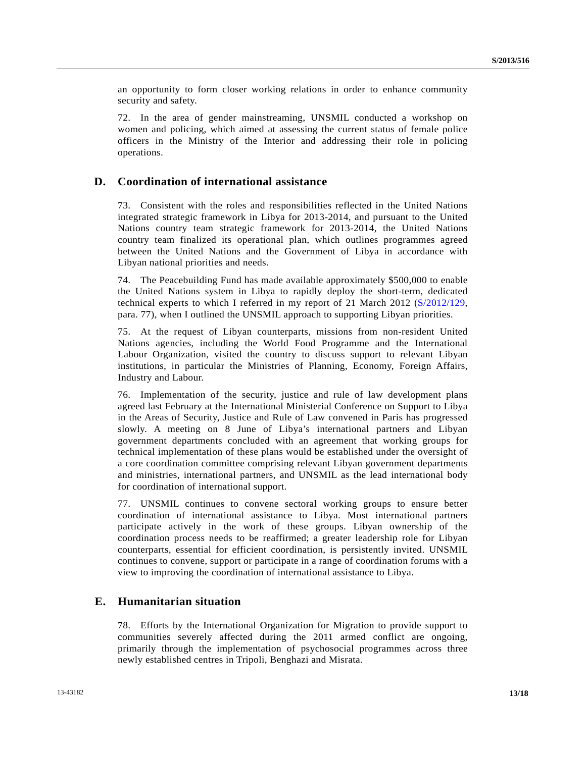an opportunity to form closer working relations in order to enhance community security and safety.

72. In the area of gender mainstreaming, UNSMIL conducted a workshop on women and policing, which aimed at assessing the current status of female police officers in the Ministry of the Interior and addressing their role in policing operations.

### **D. Coordination of international assistance**

73. Consistent with the roles and responsibilities reflected in the United Nations integrated strategic framework in Libya for 2013-2014, and pursuant to the United Nations country team strategic framework for 2013-2014, the United Nations country team finalized its operational plan, which outlines programmes agreed between the United Nations and the Government of Libya in accordance with Libyan national priorities and needs.

74. The Peacebuilding Fund has made available approximately \$500,000 to enable the United Nations system in Libya to rapidly deploy the short-term, dedicated technical experts to which I referred in my report of 21 March 2012 ([S/2012/129](http://undocs.org/S/2012/129), para. 77), when I outlined the UNSMIL approach to supporting Libyan priorities.

75. At the request of Libyan counterparts, missions from non-resident United Nations agencies, including the World Food Programme and the International Labour Organization, visited the country to discuss support to relevant Libyan institutions, in particular the Ministries of Planning, Economy, Foreign Affairs, Industry and Labour.

76. Implementation of the security, justice and rule of law development plans agreed last February at the International Ministerial Conference on Support to Libya in the Areas of Security, Justice and Rule of Law convened in Paris has progressed slowly. A meeting on 8 June of Libya's international partners and Libyan government departments concluded with an agreement that working groups for technical implementation of these plans would be established under the oversight of a core coordination committee comprising relevant Libyan government departments and ministries, international partners, and UNSMIL as the lead international body for coordination of international support.

77. UNSMIL continues to convene sectoral working groups to ensure better coordination of international assistance to Libya. Most international partners participate actively in the work of these groups. Libyan ownership of the coordination process needs to be reaffirmed; a greater leadership role for Libyan counterparts, essential for efficient coordination, is persistently invited. UNSMIL continues to convene, support or participate in a range of coordination forums with a view to improving the coordination of international assistance to Libya.

### **E. Humanitarian situation**

78. Efforts by the International Organization for Migration to provide support to communities severely affected during the 2011 armed conflict are ongoing, primarily through the implementation of psychosocial programmes across three newly established centres in Tripoli, Benghazi and Misrata.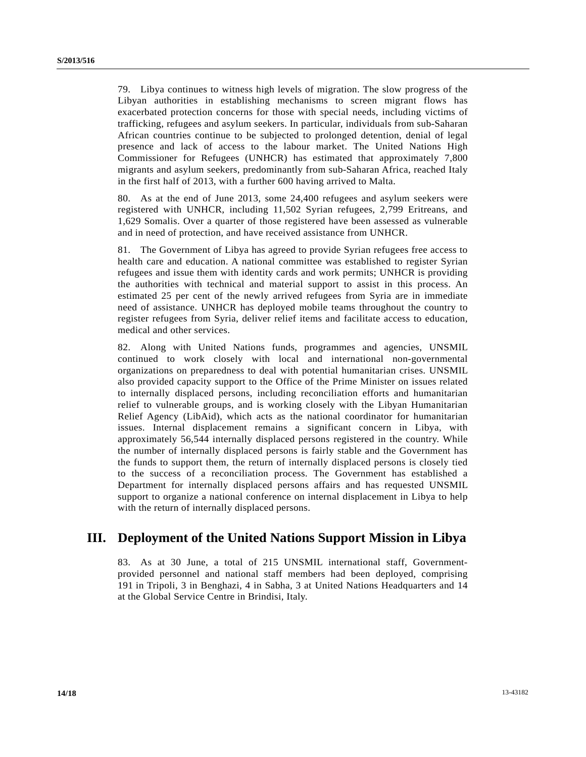79. Libya continues to witness high levels of migration. The slow progress of the Libyan authorities in establishing mechanisms to screen migrant flows has exacerbated protection concerns for those with special needs, including victims of trafficking, refugees and asylum seekers. In particular, individuals from sub-Saharan African countries continue to be subjected to prolonged detention, denial of legal presence and lack of access to the labour market. The United Nations High Commissioner for Refugees (UNHCR) has estimated that approximately 7,800 migrants and asylum seekers, predominantly from sub-Saharan Africa, reached Italy in the first half of 2013, with a further 600 having arrived to Malta.

80. As at the end of June 2013, some 24,400 refugees and asylum seekers were registered with UNHCR, including 11,502 Syrian refugees, 2,799 Eritreans, and 1,629 Somalis. Over a quarter of those registered have been assessed as vulnerable and in need of protection, and have received assistance from UNHCR.

81. The Government of Libya has agreed to provide Syrian refugees free access to health care and education. A national committee was established to register Syrian refugees and issue them with identity cards and work permits; UNHCR is providing the authorities with technical and material support to assist in this process. An estimated 25 per cent of the newly arrived refugees from Syria are in immediate need of assistance. UNHCR has deployed mobile teams throughout the country to register refugees from Syria, deliver relief items and facilitate access to education, medical and other services.

82. Along with United Nations funds, programmes and agencies, UNSMIL continued to work closely with local and international non-governmental organizations on preparedness to deal with potential humanitarian crises. UNSMIL also provided capacity support to the Office of the Prime Minister on issues related to internally displaced persons, including reconciliation efforts and humanitarian relief to vulnerable groups, and is working closely with the Libyan Humanitarian Relief Agency (LibAid), which acts as the national coordinator for humanitarian issues. Internal displacement remains a significant concern in Libya, with approximately 56,544 internally displaced persons registered in the country. While the number of internally displaced persons is fairly stable and the Government has the funds to support them, the return of internally displaced persons is closely tied to the success of a reconciliation process. The Government has established a Department for internally displaced persons affairs and has requested UNSMIL support to organize a national conference on internal displacement in Libya to help with the return of internally displaced persons.

## **III. Deployment of the United Nations Support Mission in Libya**

83. As at 30 June, a total of 215 UNSMIL international staff, Governmentprovided personnel and national staff members had been deployed, comprising 191 in Tripoli, 3 in Benghazi, 4 in Sabha, 3 at United Nations Headquarters and 14 at the Global Service Centre in Brindisi, Italy.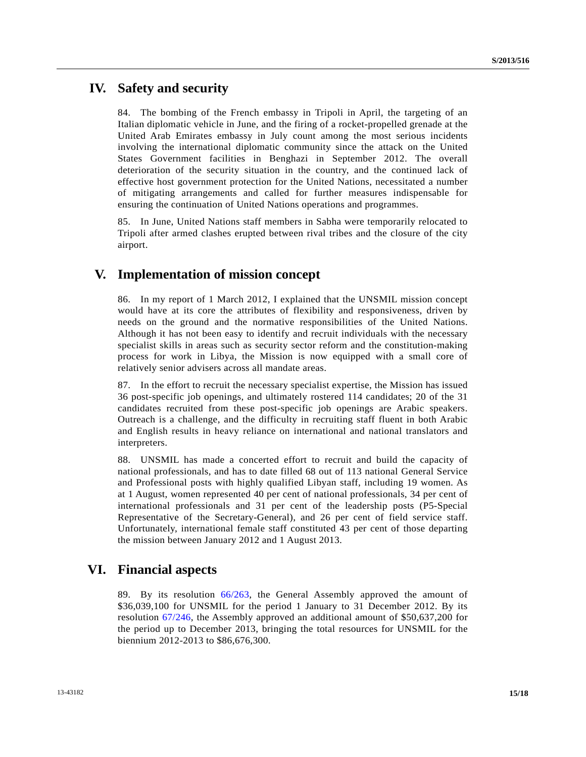## **IV. Safety and security**

84. The bombing of the French embassy in Tripoli in April, the targeting of an Italian diplomatic vehicle in June, and the firing of a rocket-propelled grenade at the United Arab Emirates embassy in July count among the most serious incidents involving the international diplomatic community since the attack on the United States Government facilities in Benghazi in September 2012. The overall deterioration of the security situation in the country, and the continued lack of effective host government protection for the United Nations, necessitated a number of mitigating arrangements and called for further measures indispensable for ensuring the continuation of United Nations operations and programmes.

85. In June, United Nations staff members in Sabha were temporarily relocated to Tripoli after armed clashes erupted between rival tribes and the closure of the city airport.

## **V. Implementation of mission concept**

86. In my report of 1 March 2012, I explained that the UNSMIL mission concept would have at its core the attributes of flexibility and responsiveness, driven by needs on the ground and the normative responsibilities of the United Nations. Although it has not been easy to identify and recruit individuals with the necessary specialist skills in areas such as security sector reform and the constitution-making process for work in Libya, the Mission is now equipped with a small core of relatively senior advisers across all mandate areas.

87. In the effort to recruit the necessary specialist expertise, the Mission has issued 36 post-specific job openings, and ultimately rostered 114 candidates; 20 of the 31 candidates recruited from these post-specific job openings are Arabic speakers. Outreach is a challenge, and the difficulty in recruiting staff fluent in both Arabic and English results in heavy reliance on international and national translators and interpreters.

88. UNSMIL has made a concerted effort to recruit and build the capacity of national professionals, and has to date filled 68 out of 113 national General Service and Professional posts with highly qualified Libyan staff, including 19 women. As at 1 August, women represented 40 per cent of national professionals, 34 per cent of international professionals and 31 per cent of the leadership posts (P5-Special Representative of the Secretary-General), and 26 per cent of field service staff. Unfortunately, international female staff constituted 43 per cent of those departing the mission between January 2012 and 1 August 2013.

## **VI. Financial aspects**

89. By its resolution [66/263,](http://undocs.org/A/RES/66/263) the General Assembly approved the amount of \$36,039,100 for UNSMIL for the period 1 January to 31 December 2012. By its resolution [67/246,](http://undocs.org/A/RES/67/246) the Assembly approved an additional amount of \$50,637,200 for the period up to December 2013, bringing the total resources for UNSMIL for the biennium 2012-2013 to \$86,676,300.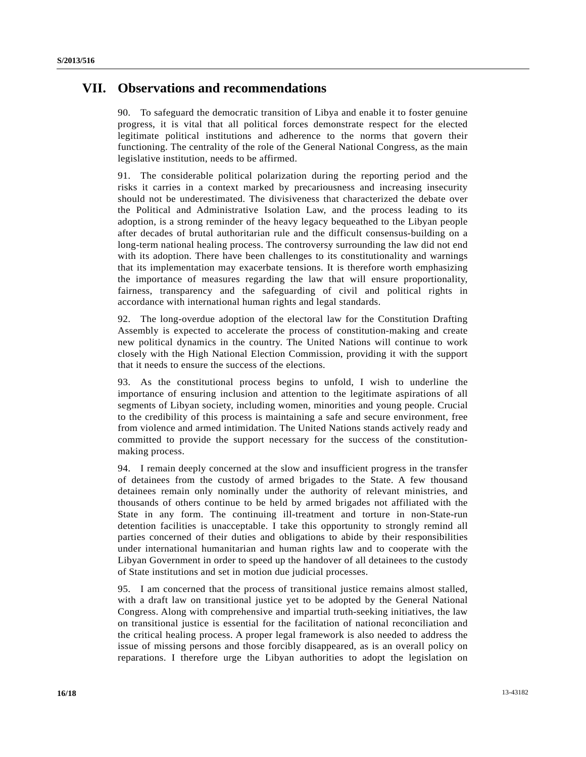## **VII. Observations and recommendations**

90. To safeguard the democratic transition of Libya and enable it to foster genuine progress, it is vital that all political forces demonstrate respect for the elected legitimate political institutions and adherence to the norms that govern their functioning. The centrality of the role of the General National Congress, as the main legislative institution, needs to be affirmed.

91. The considerable political polarization during the reporting period and the risks it carries in a context marked by precariousness and increasing insecurity should not be underestimated. The divisiveness that characterized the debate over the Political and Administrative Isolation Law, and the process leading to its adoption, is a strong reminder of the heavy legacy bequeathed to the Libyan people after decades of brutal authoritarian rule and the difficult consensus-building on a long-term national healing process. The controversy surrounding the law did not end with its adoption. There have been challenges to its constitutionality and warnings that its implementation may exacerbate tensions. It is therefore worth emphasizing the importance of measures regarding the law that will ensure proportionality, fairness, transparency and the safeguarding of civil and political rights in accordance with international human rights and legal standards.

92. The long-overdue adoption of the electoral law for the Constitution Drafting Assembly is expected to accelerate the process of constitution-making and create new political dynamics in the country. The United Nations will continue to work closely with the High National Election Commission, providing it with the support that it needs to ensure the success of the elections.

93. As the constitutional process begins to unfold, I wish to underline the importance of ensuring inclusion and attention to the legitimate aspirations of all segments of Libyan society, including women, minorities and young people. Crucial to the credibility of this process is maintaining a safe and secure environment, free from violence and armed intimidation. The United Nations stands actively ready and committed to provide the support necessary for the success of the constitutionmaking process.

94. I remain deeply concerned at the slow and insufficient progress in the transfer of detainees from the custody of armed brigades to the State. A few thousand detainees remain only nominally under the authority of relevant ministries, and thousands of others continue to be held by armed brigades not affiliated with the State in any form. The continuing ill-treatment and torture in non-State-run detention facilities is unacceptable. I take this opportunity to strongly remind all parties concerned of their duties and obligations to abide by their responsibilities under international humanitarian and human rights law and to cooperate with the Libyan Government in order to speed up the handover of all detainees to the custody of State institutions and set in motion due judicial processes.

95. I am concerned that the process of transitional justice remains almost stalled, with a draft law on transitional justice yet to be adopted by the General National Congress. Along with comprehensive and impartial truth-seeking initiatives, the law on transitional justice is essential for the facilitation of national reconciliation and the critical healing process. A proper legal framework is also needed to address the issue of missing persons and those forcibly disappeared, as is an overall policy on reparations. I therefore urge the Libyan authorities to adopt the legislation on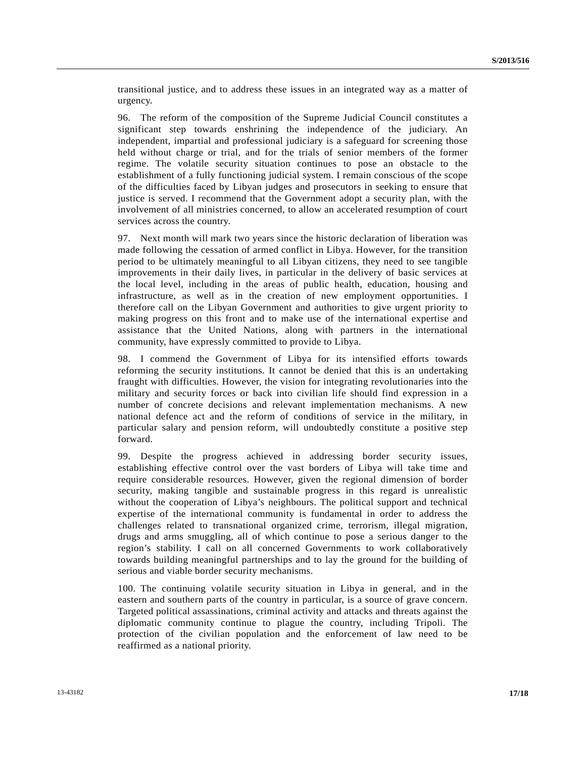transitional justice, and to address these issues in an integrated way as a matter of urgency.

96. The reform of the composition of the Supreme Judicial Council constitutes a significant step towards enshrining the independence of the judiciary. An independent, impartial and professional judiciary is a safeguard for screening those held without charge or trial, and for the trials of senior members of the former regime. The volatile security situation continues to pose an obstacle to the establishment of a fully functioning judicial system. I remain conscious of the scope of the difficulties faced by Libyan judges and prosecutors in seeking to ensure that justice is served. I recommend that the Government adopt a security plan, with the involvement of all ministries concerned, to allow an accelerated resumption of court services across the country.

97. Next month will mark two years since the historic declaration of liberation was made following the cessation of armed conflict in Libya. However, for the transition period to be ultimately meaningful to all Libyan citizens, they need to see tangible improvements in their daily lives, in particular in the delivery of basic services at the local level, including in the areas of public health, education, housing and infrastructure, as well as in the creation of new employment opportunities. I therefore call on the Libyan Government and authorities to give urgent priority to making progress on this front and to make use of the international expertise and assistance that the United Nations, along with partners in the international community, have expressly committed to provide to Libya.

98. I commend the Government of Libya for its intensified efforts towards reforming the security institutions. It cannot be denied that this is an undertaking fraught with difficulties. However, the vision for integrating revolutionaries into the military and security forces or back into civilian life should find expression in a number of concrete decisions and relevant implementation mechanisms. A new national defence act and the reform of conditions of service in the military, in particular salary and pension reform, will undoubtedly constitute a positive step forward.

99. Despite the progress achieved in addressing border security issues, establishing effective control over the vast borders of Libya will take time and require considerable resources. However, given the regional dimension of border security, making tangible and sustainable progress in this regard is unrealistic without the cooperation of Libya's neighbours. The political support and technical expertise of the international community is fundamental in order to address the challenges related to transnational organized crime, terrorism, illegal migration, drugs and arms smuggling, all of which continue to pose a serious danger to the region's stability. I call on all concerned Governments to work collaboratively towards building meaningful partnerships and to lay the ground for the building of serious and viable border security mechanisms.

100. The continuing volatile security situation in Libya in general, and in the eastern and southern parts of the country in particular, is a source of grave concern. Targeted political assassinations, criminal activity and attacks and threats against the diplomatic community continue to plague the country, including Tripoli. The protection of the civilian population and the enforcement of law need to be reaffirmed as a national priority.